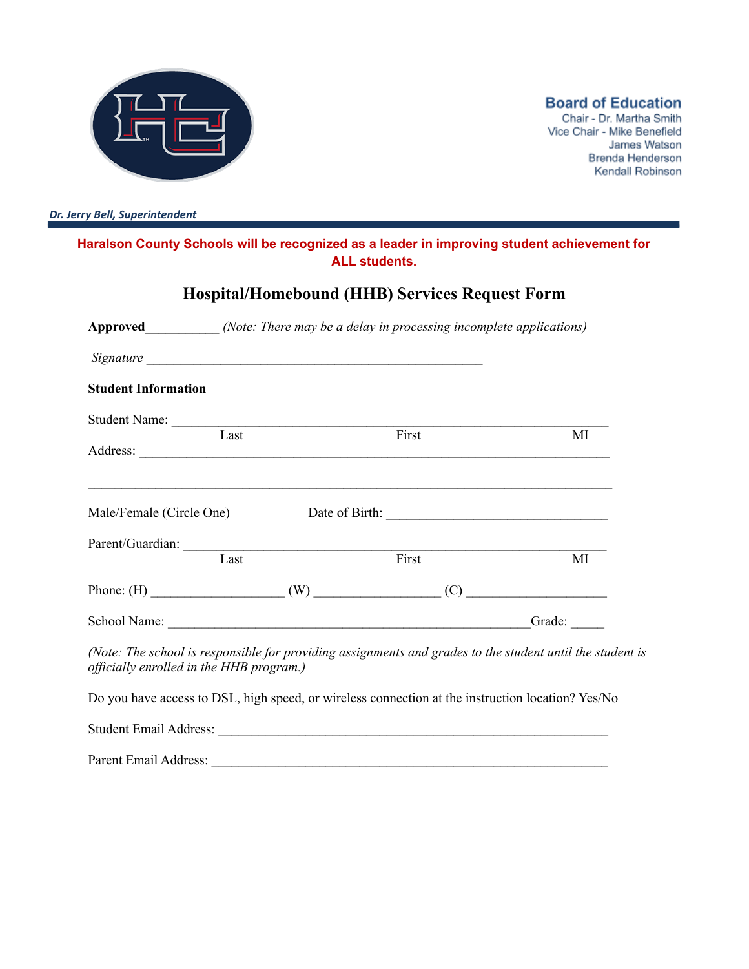

**Board of Education** 

Chair - Dr. Martha Smith Vice Chair - Mike Benefield James Watson Brenda Henderson Kendall Robinson

*Dr. Jerry Bell, Superintendent*

#### **Haralson County Schools will be recognized as a leader in improving student achievement for ALL students.**

# **Hospital/Homebound (HHB) Services Request Form**

| <b>Approved</b> <i>(Note: There may be a delay in processing incomplete applications)</i> |                                                                                                                                                                                                                                |    |  |
|-------------------------------------------------------------------------------------------|--------------------------------------------------------------------------------------------------------------------------------------------------------------------------------------------------------------------------------|----|--|
|                                                                                           |                                                                                                                                                                                                                                |    |  |
| <b>Student Information</b>                                                                |                                                                                                                                                                                                                                |    |  |
|                                                                                           | Student Name: Last First                                                                                                                                                                                                       |    |  |
|                                                                                           |                                                                                                                                                                                                                                | MI |  |
|                                                                                           | ,我们也不会有什么。""我们的人,我们也不会有什么?""我们的人,我们也不会有什么?""我们的人,我们也不会有什么?""我们的人,我们也不会有什么?""我们的人                                                                                                                                               |    |  |
|                                                                                           | Parent/Guardian: Tast First                                                                                                                                                                                                    |    |  |
|                                                                                           |                                                                                                                                                                                                                                | MI |  |
|                                                                                           |                                                                                                                                                                                                                                |    |  |
|                                                                                           | School Name: Camera Contact Contact Contact Contact Contact Contact Contact Contact Contact Contact Contact Contact Contact Contact Contact Contact Contact Contact Contact Contact Contact Contact Contact Contact Contact Co |    |  |
| officially enrolled in the HHB program.)                                                  | (Note: The school is responsible for providing assignments and grades to the student until the student is                                                                                                                      |    |  |
|                                                                                           | Do you have access to DSL, high speed, or wireless connection at the instruction location? Yes/No                                                                                                                              |    |  |
|                                                                                           |                                                                                                                                                                                                                                |    |  |

Parent Email Address: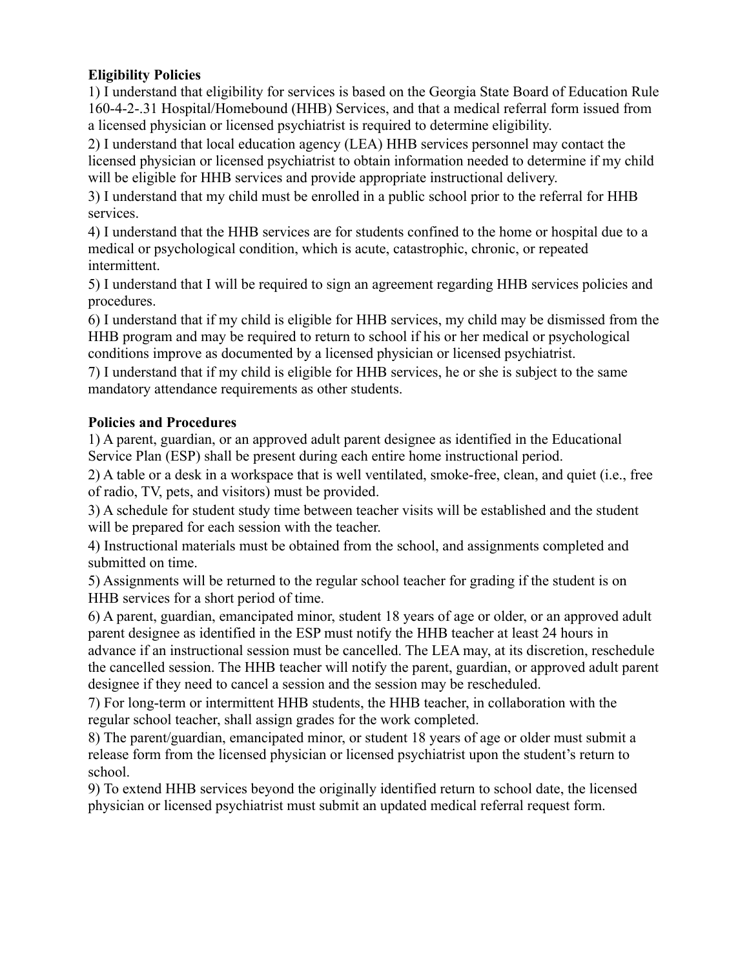## **Eligibility Policies**

1) I understand that eligibility for services is based on the Georgia State Board of Education Rule 160-4-2-.31 Hospital/Homebound (HHB) Services, and that a medical referral form issued from a licensed physician or licensed psychiatrist is required to determine eligibility.

2) I understand that local education agency (LEA) HHB services personnel may contact the licensed physician or licensed psychiatrist to obtain information needed to determine if my child will be eligible for HHB services and provide appropriate instructional delivery.

3) I understand that my child must be enrolled in a public school prior to the referral for HHB services.

4) I understand that the HHB services are for students confined to the home or hospital due to a medical or psychological condition, which is acute, catastrophic, chronic, or repeated intermittent.

5) I understand that I will be required to sign an agreement regarding HHB services policies and procedures.

6) I understand that if my child is eligible for HHB services, my child may be dismissed from the HHB program and may be required to return to school if his or her medical or psychological conditions improve as documented by a licensed physician or licensed psychiatrist.

7) I understand that if my child is eligible for HHB services, he or she is subject to the same mandatory attendance requirements as other students.

### **Policies and Procedures**

1) A parent, guardian, or an approved adult parent designee as identified in the Educational Service Plan (ESP) shall be present during each entire home instructional period.

2) A table or a desk in a workspace that is well ventilated, smoke-free, clean, and quiet (i.e., free of radio, TV, pets, and visitors) must be provided.

3) A schedule for student study time between teacher visits will be established and the student will be prepared for each session with the teacher.

4) Instructional materials must be obtained from the school, and assignments completed and submitted on time.

5) Assignments will be returned to the regular school teacher for grading if the student is on HHB services for a short period of time.

6) A parent, guardian, emancipated minor, student 18 years of age or older, or an approved adult parent designee as identified in the ESP must notify the HHB teacher at least 24 hours in advance if an instructional session must be cancelled. The LEA may, at its discretion, reschedule the cancelled session. The HHB teacher will notify the parent, guardian, or approved adult parent designee if they need to cancel a session and the session may be rescheduled.

7) For long-term or intermittent HHB students, the HHB teacher, in collaboration with the regular school teacher, shall assign grades for the work completed.

8) The parent/guardian, emancipated minor, or student 18 years of age or older must submit a release form from the licensed physician or licensed psychiatrist upon the student's return to school.

9) To extend HHB services beyond the originally identified return to school date, the licensed physician or licensed psychiatrist must submit an updated medical referral request form.